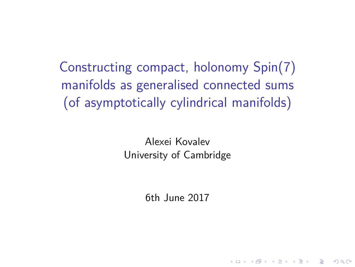Constructing compact, holonomy Spin(7) manifolds as generalised connected sums (of asymptotically cylindrical manifolds)

> Alexei Kovalev University of Cambridge

> > <span id="page-0-0"></span>6th June 2017

**KORKARYKERKER POLO**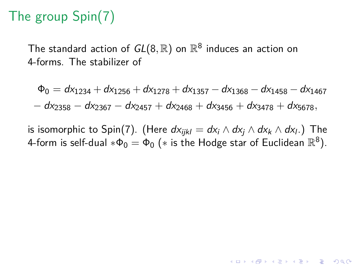# The group Spin(7)

The standard action of  $\mathit{GL}(8,\mathbb{R})$  on  $\mathbb{R}^8$  induces an action on 4-forms. The stabilizer of

 $\Phi_0 = dx_{1234} + dx_{1256} + dx_{1278} + dx_{1357} - dx_{1368} - dx_{1458} - dx_{1467}$  $-\frac{1}{2}$  dx<sub>2358</sub> − dx<sub>2457</sub> + dx<sub>2468</sub> + dx<sub>3456</sub> + dx<sub>3478</sub> + dx<sub>5678</sub>,

is isomorphic to Spin(7). (Here  $dx_{ijkl} = dx_i \wedge dx_j \wedge dx_k \wedge dx_l$ .) The 4-form is self-dual  $*\Phi_0 = \Phi_0$   $(*$  is the Hodge star of Euclidean  $\mathbb{R}^8).$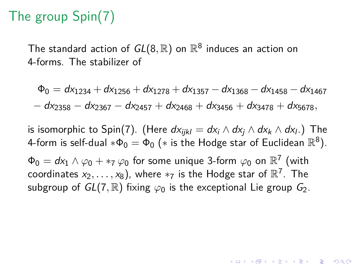# The group Spin(7)

The standard action of  $\mathit{GL}(8,\mathbb{R})$  on  $\mathbb{R}^8$  induces an action on 4-forms. The stabilizer of

 $\Phi_0 = dx_{1234} + dx_{1256} + dx_{1278} + dx_{1357} - dx_{1368} - dx_{1458} - dx_{1467}$ − dx<sup>2358</sup> − dx<sup>2367</sup> − dx<sup>2457</sup> + dx<sup>2468</sup> + dx<sup>3456</sup> + dx<sup>3478</sup> + dx5678*,*

is isomorphic to Spin(7). (Here  $dx_{ijkl} = dx_i \wedge dx_j \wedge dx_k \wedge dx_l$ .) The 4-form is self-dual  $*\Phi_0 = \Phi_0$   $(*$  is the Hodge star of Euclidean  $\mathbb{R}^8).$ 

**KORKAR KERKER SAGA** 

 $\Phi_0 = d\mathsf{x}_1 \wedge \varphi_0 + \ast_7 \varphi_0$  for some unique 3-form  $\varphi_0$  on  $\mathbb{R}^7$  (with coordinates  $x_2,\ldots,x_8)$ , where  $*_7$  is the Hodge star of  $\R^7.$  The subgroup of  $GL(7,\mathbb{R})$  fixing  $\varphi_0$  is the exceptional Lie group  $G_2$ .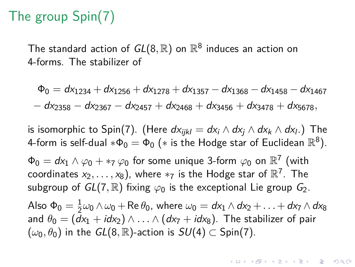## The group Spin(7)

The standard action of  $\mathit{GL}(8,\mathbb{R})$  on  $\mathbb{R}^8$  induces an action on 4-forms. The stabilizer of

 $\Phi_0 = dx_{1234} + dx_{1256} + dx_{1278} + dx_{1357} - dx_{1368} - dx_{1458} - dx_{1467}$  $-\frac{1}{2}$  dx<sub>2358</sub> − dx<sub>2457</sub> + dx<sub>2468</sub> + dx<sub>3456</sub> + dx<sub>3478</sub> + dx<sub>5678</sub>,

is isomorphic to Spin(7). (Here  $dx_{ijkl} = dx_i \wedge dx_j \wedge dx_k \wedge dx_l$ .) The 4-form is self-dual  $*\Phi_0 = \Phi_0$   $(*$  is the Hodge star of Euclidean  $\mathbb{R}^8).$ 

 $\Phi_0 = d\mathsf{x}_1 \wedge \varphi_0 + \ast_7 \varphi_0$  for some unique 3-form  $\varphi_0$  on  $\mathbb{R}^7$  (with coordinates  $x_2,\ldots,x_8)$ , where  $*_7$  is the Hodge star of  $\R^7.$  The subgroup of  $GL(7,\mathbb{R})$  fixing  $\varphi_0$  is the exceptional Lie group  $G_2$ . Also  $\Phi_0=\frac{1}{2}$  $\frac{1}{2}\omega_0\wedge\omega_0 + \text{Re}\,\theta_0$ , where  $\omega_0 = dx_1\wedge dx_2 + \ldots + dx_7\wedge dx_8$ and  $\theta_0 = (dx_1 + idx_2) \wedge ... \wedge (dx_7 + idx_8)$ . The stabilizer of pair  $(\omega_0, \theta_0)$  in the  $GL(8, \mathbb{R})$ -action is  $SU(4) \subset Spin(7)$ .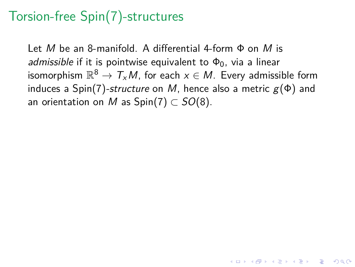### Torsion-free Spin(7)-structures

Let M be an 8-manifold. A differential 4-form  $\Phi$  on M is admissible if it is pointwise equivalent to  $\Phi_0$ , via a linear isomorphism  $\mathbb{R}^8 \to \mathcal{T}_{\mathsf{x}}\mathcal{M}$ , for each  $\mathsf{x} \in \mathcal{M}.$  Every admissible form induces a Spin(7)-structure on M, hence also a metric  $g(\Phi)$  and an orientation on M as  $Spin(7) \subset SO(8)$ .

4 0 > 4 4 + 4 = + 4 = + = + + 0 4 0 +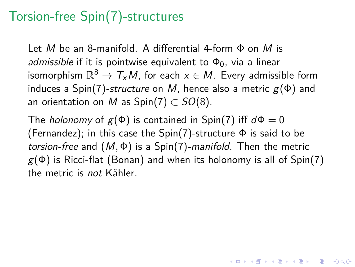### Torsion-free Spin(7)-structures

Let M be an 8-manifold. A differential 4-form  $\Phi$  on M is admissible if it is pointwise equivalent to  $\Phi_0$ , via a linear isomorphism  $\mathbb{R}^8 \to \mathcal{T}_{\mathsf{x}}\mathcal{M}$ , for each  $\mathsf{x} \in \mathcal{M}.$  Every admissible form induces a Spin(7)-structure on M, hence also a metric  $g(\Phi)$  and an orientation on M as  $Spin(7) \subset SO(8)$ .

The *holonomy* of  $g(\Phi)$  is contained in Spin(7) iff  $d\Phi = 0$ (Fernandez); in this case the  $Spin(7)$ -structure  $\Phi$  is said to be torsion-free and  $(M, \Phi)$  is a Spin(7)-manifold. Then the metric  $g(\Phi)$  is Ricci-flat (Bonan) and when its holonomy is all of Spin(7) the metric is not Kähler.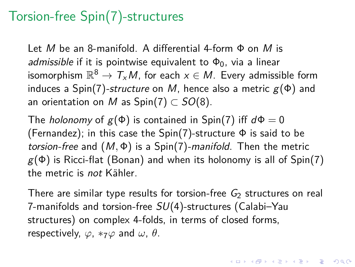### Torsion-free Spin(7)-structures

Let M be an 8-manifold. A differential 4-form  $\Phi$  on M is admissible if it is pointwise equivalent to  $\Phi_0$ , via a linear isomorphism  $\mathbb{R}^8 \to \mathcal{T}_{\mathsf{x}}\mathcal{M}$ , for each  $\mathsf{x} \in \mathcal{M}.$  Every admissible form induces a Spin(7)-structure on M, hence also a metric  $g(\Phi)$  and an orientation on M as  $Spin(7) \subset SO(8)$ .

The *holonomy* of  $g(\Phi)$  is contained in Spin(7) iff  $d\Phi = 0$ (Fernandez); in this case the  $Spin(7)$ -structure  $\Phi$  is said to be torsion-free and  $(M, \Phi)$  is a Spin(7)-manifold. Then the metric  $g(\Phi)$  is Ricci-flat (Bonan) and when its holonomy is all of Spin(7) the metric is not Kähler.

There are similar type results for torsion-free  $G_2$  structures on real 7-manifolds and torsion-free  $SU(4)$ -structures (Calabi-Yau structures) on complex 4-folds, in terms of closed forms, respectively,  $\varphi$ ,  $*_7\varphi$  and  $\omega$ ,  $\theta$ .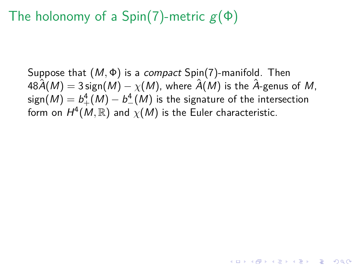## The holonomy of a Spin(7)-metric  $g(\Phi)$

Suppose that (M*,* Φ) is a compact Spin(7)-manifold. Then  $48\hat{A}(M) = 3 \operatorname{sign}(M) - \chi(M)$ , where  $\hat{A}(M)$  is the  $\hat{A}$ -genus of M,  $\mathsf{sign}(M) = \mathcal{b}_+^4(M) - \mathcal{b}_-^4(M)$  is the signature of the intersection form on  $H^4(M,\mathbb{R})$  and  $\chi(M)$  is the Euler characteristic.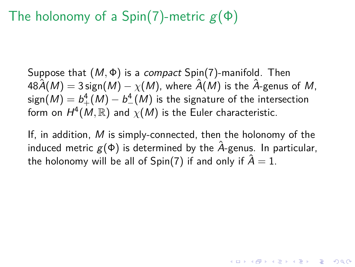### The holonomy of a Spin(7)-metric  $g(\Phi)$

Suppose that (M*,* Φ) is a compact Spin(7)-manifold. Then  $48\hat{A}(M) = 3$  sign $(M) - \chi(M)$ , where  $\hat{A}(M)$  is the  $\hat{A}$ -genus of M,  $\mathsf{sign}(M) = \mathcal{b}_+^4(M) - \mathcal{b}_-^4(M)$  is the signature of the intersection form on  $H^4(M,\mathbb{R})$  and  $\chi(M)$  is the Euler characteristic.

If, in addition, M is simply-connected, then the holonomy of the induced metric  $g(\Phi)$  is determined by the  $\hat{A}$ -genus. In particular, the holonomy will be all of Spin(7) if and only if  $\hat{A} = 1$ .

YO A 4 4 4 4 5 A 4 5 A 4 D + 4 D + 4 D + 4 D + 4 D + 4 D + + E + + D + + E + + O + O + + + + + + + +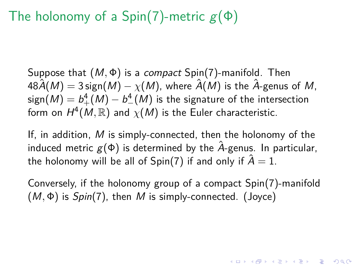## The holonomy of a Spin(7)-metric  $g(\Phi)$

Suppose that (M*,* Φ) is a compact Spin(7)-manifold. Then  $48\hat{A}(M) = 3$  sign $(M) - \chi(M)$ , where  $\hat{A}(M)$  is the  $\hat{A}$ -genus of M,  $\mathsf{sign}(M) = \mathcal{b}_+^4(M) - \mathcal{b}_-^4(M)$  is the signature of the intersection form on  $H^4(M,\mathbb{R})$  and  $\chi(M)$  is the Euler characteristic.

If, in addition, M is simply-connected, then the holonomy of the induced metric  $g(\Phi)$  is determined by the  $\hat{A}$ -genus. In particular, the holonomy will be all of Spin(7) if and only if  $\hat{A} = 1$ .

<span id="page-9-0"></span>Conversely, if the holonomy group of a compact Spin(7)-manifold (M*,* Φ) is Spin(7), then M is simply-connected. (Joyce)

YO A 4 4 4 4 5 A 4 5 A 4 D + 4 D + 4 D + 4 D + 4 D + 4 D + + E + + D + + E + + O + O + + + + + + + +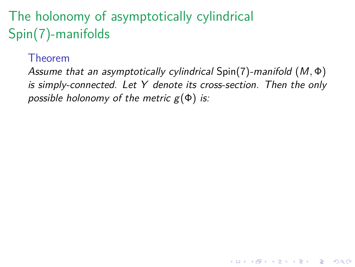# The holonomy of asymptotically cylindrical Spin(7)-manifolds

#### Theorem

<span id="page-10-0"></span>Assume that an asymptotically cylindrical Spin(7)-manifold (M*,* Φ) is simply-connected. Let Y denote its cross-section. Then the only possible holonomy of the metric  $g(\Phi)$  is:

**KORKARYKERKER POLO**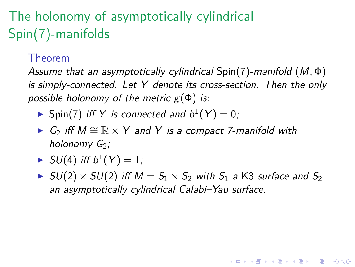# The holonomy of asymptotically cylindrical Spin(7)-manifolds

#### Theorem

Assume that an asymptotically cylindrical Spin(7)-manifold (M*,* Φ) is simply-connected. Let Y denote its cross-section. Then the only possible holonomy of the metric  $g(\Phi)$  is:

- $\blacktriangleright$  Spin(7) iff Y is connected and  $b^1(Y) = 0$ ;
- ►  $G_2$  iff  $M \cong \mathbb{R} \times Y$  and Y is a compact 7-manifold with holonomy  $G_2$ ;
- $\blacktriangleright$  SU(4) iff  $b^1(Y)=1$ ;
- <span id="page-11-0"></span> $\blacktriangleright$  SU(2)  $\times$  SU(2) iff  $M = S_1 \times S_2$  with  $S_1$  a K3 surface and  $S_2$ an asymptotically cylindrical Calabi–Yau surface.

KELK KØLK VELKEN EL 1990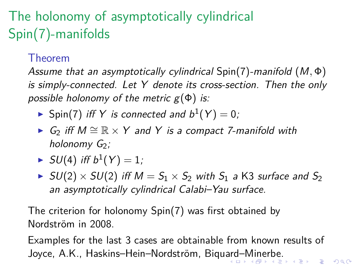# The holonomy of asymptotically cylindrical Spin(7)-manifolds

#### Theorem

Assume that an asymptotically cylindrical Spin(7)-manifold (M*,* Φ) is simply-connected. Let Y denote its cross-section. Then the only possible holonomy of the metric  $g(\Phi)$  is:

 $\blacktriangleright$  Spin(7) iff Y is connected and  $b^1(Y) = 0$ ;

- ► G<sub>2</sub> iff  $M \cong \mathbb{R} \times Y$  and Y is a compact 7-manifold with holonomy  $G_2$ ;
- $\blacktriangleright$  SU(4) iff  $b^1(Y)=1$ ;
- $\blacktriangleright$  SU(2)  $\times$  SU(2) iff  $M = S_1 \times S_2$  with  $S_1$  a K3 surface and  $S_2$ an asymptotically cylindrical Calabi–Yau surface.

The criterion for holonomy Spin(7) was first obtained by Nordström in 2008

<span id="page-12-0"></span>Examples for the last 3 cases are obtainable from known results of Joyce, A.K., Haskins–Hein–Nordström, Biqu[ard](#page-11-0)[–](#page-13-0)[M](#page-9-0)[in](#page-10-0)[er](#page-13-0)[be](#page-0-0)[.](#page-48-0)<br>Experiment and the second service of the second service of the second service of the service of the service of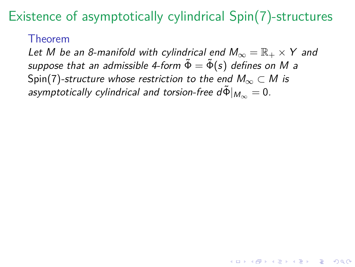#### Theorem

<span id="page-13-0"></span>Let M be an 8-manifold with cylindrical end  $M_{\infty} = \mathbb{R}_+ \times Y$  and suppose that an admissible 4-form  $\tilde{\Phi} = \tilde{\Phi}(s)$  defines on M a Spin(7)-structure whose restriction to the end  $M_{\infty} \subset M$  is asymptotically cylindrical and torsion-free  $d\tilde{\Phi}|_{M_{\infty}} = 0$ .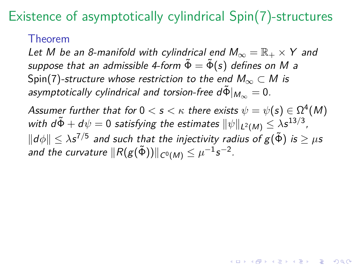#### Theorem

Let M be an 8-manifold with cylindrical end  $M_{\infty} = \mathbb{R}_+ \times Y$  and suppose that an admissible 4-form  $\tilde{\Phi} = \tilde{\Phi}(s)$  defines on M a Spin(7)-structure whose restriction to the end  $M_{\infty} \subset M$  is asymptotically cylindrical and torsion-free  $d\tilde{\Phi}|_{M_{\infty}} = 0$ .

Assumer further that for  $0 < s < \kappa$  there exists  $\psi = \psi(s) \in \Omega^4(M)$ with  $d\tilde{\Phi} + d\psi = 0$  satisfying the estimates  $\|\psi\|_{L^2(M)} \leq \lambda s^{13/3}$ ,  $\Vert d\phi\Vert\leq\lambda s^{7/5}$  and such that the injectivity radius of  $g(\tilde{\Phi})$  is  $\geq\mu s$ and the curvature  $\|R(\mathcal{g}(\tilde{\Phi}))\|_{\mathcal{C}^0(M)}\leq \mu^{-1}\mathsf{s}^{-2}.$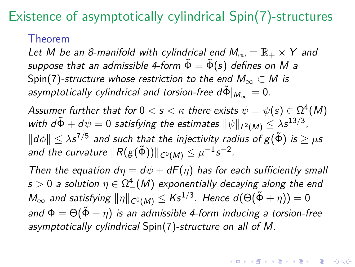#### Theorem

Let M be an 8-manifold with cylindrical end  $M_{\infty} = \mathbb{R}_+ \times Y$  and suppose that an admissible 4-form  $\tilde{\Phi} = \tilde{\Phi}(s)$  defines on M a Spin(7)-structure whose restriction to the end  $M_{\infty} \subset M$  is asymptotically cylindrical and torsion-free  $d\tilde{\Phi}|_{M_{\infty}} = 0$ .

Assumer further that for  $0 < s < \kappa$  there exists  $\psi = \psi(s) \in \Omega^4(M)$ with  $d\tilde{\Phi} + d\psi = 0$  satisfying the estimates  $\|\psi\|_{L^2(M)} \leq \lambda s^{13/3}$ ,  $\Vert d\phi\Vert\leq\lambda s^{7/5}$  and such that the injectivity radius of  $g(\tilde{\Phi})$  is  $\geq\mu s$ and the curvature  $\|R(\mathcal{g}(\tilde{\Phi}))\|_{\mathcal{C}^0(M)}\leq \mu^{-1}\mathsf{s}^{-2}.$ 

<span id="page-15-0"></span>Then the equation  $d\eta = d\psi + dF(\eta)$  has for each sufficiently small  $s>0$  a solution  $\eta\in\Omega^4_-(M)$  exponentially decaying along the end  $M_\infty$  and satisfying  $\|\eta\|_{\mathcal{C}^0(M)}\leq K\mathsf{s}^{1/3}.$  Hence  $d(\Theta(\tilde{\Phi}+\eta))=0$ and  $\Phi = \Theta(\tilde{\Phi} + \eta)$  is an admissible 4-form inducing a torsion-free asymptotically cylindrical Spin(7)-structure on all of M.

YO A 4 4 4 4 5 A 4 5 A 4 D + 4 D + 4 D + 4 D + 4 D + + E + + E + + O + O + + E + + O + + C + + + + +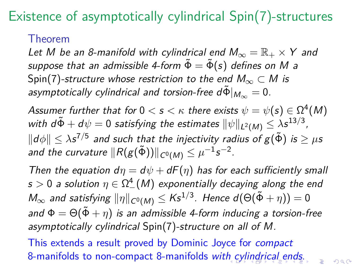#### Theorem

Let M be an 8-manifold with cylindrical end  $M_{\infty} = \mathbb{R}_+ \times Y$  and suppose that an admissible 4-form  $\tilde{\Phi} = \tilde{\Phi}(s)$  defines on M a Spin(7)-structure whose restriction to the end  $M_{\infty} \subset M$  is asymptotically cylindrical and torsion-free  $d\tilde{\Phi}|_{M_{\infty}} = 0$ .

Assumer further that for  $0 < s < \kappa$  there exists  $\psi = \psi(s) \in \Omega^4(M)$ with  $d\tilde{\Phi} + d\psi = 0$  satisfying the estimates  $\|\psi\|_{L^2(M)} \leq \lambda s^{13/3}$ ,  $\Vert d\phi\Vert\leq\lambda s^{7/5}$  and such that the injectivity radius of  $g(\tilde{\Phi})$  is  $\geq\mu s$ and the curvature  $\|R(\mathcal{g}(\tilde{\Phi}))\|_{\mathcal{C}^0(M)}\leq \mu^{-1}\mathsf{s}^{-2}.$ 

Then the equation  $d\eta = d\psi + dF(\eta)$  has for each sufficiently small  $s>0$  a solution  $\eta\in\Omega^4_-(M)$  exponentially decaying along the end  $M_\infty$  and satisfying  $\|\eta\|_{\mathcal{C}^0(M)}\leq K\mathsf{s}^{1/3}.$  Hence  $d(\Theta(\tilde{\Phi}+\eta))=0$ and  $\Phi = \Theta(\tilde{\Phi} + \eta)$  is an admissible 4-form inducing a torsion-free asymptotically cylindrical Spin(7)-structure on all of M.

<span id="page-16-0"></span>This extends a result proved by Dominic Joyce for compact 8-manifolds to non-compact 8-manifolds wit[h c](#page-15-0)[yli](#page-17-0)[n](#page-12-0)[d](#page-13-0)[r](#page-16-0)[ic](#page-17-0)[al](#page-0-0) [en](#page-48-0)[ds](#page-0-0)[.](#page-48-0)

 $\Omega$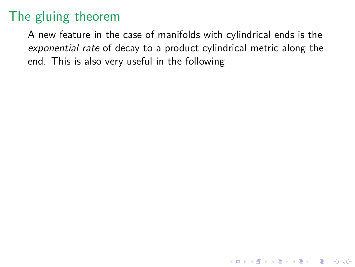<span id="page-17-0"></span>A new feature in the case of manifolds with cylindrical ends is the exponential rate of decay to a product cylindrical metric along the end. This is also very useful in the following

**KORK ERKER ADAM ADA**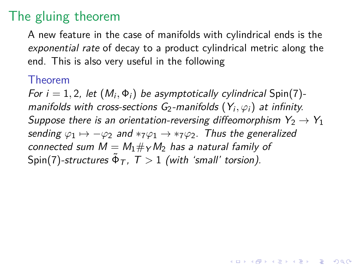A new feature in the case of manifolds with cylindrical ends is the exponential rate of decay to a product cylindrical metric along the end. This is also very useful in the following

#### Theorem

For  $i = 1, 2$ , let  $(M_i, \Phi_i)$  be asymptotically cylindrical Spin(7)manifolds with cross-sections G<sub>2</sub>-manifolds  $(Y_i, \varphi_i)$  at infinity. Suppose there is an orientation-reversing diffeomorphism  $Y_2 \rightarrow Y_1$ sending  $\varphi_1 \mapsto -\varphi_2$  and  $*_7\varphi_1 \rightarrow *_7\varphi_2$ . Thus the generalized connected sum  $M = M_1 \# \gamma M_2$  has a natural family of  $\mathsf{Spin}(7)$ -structures  $\tilde{\Phi}_\mathcal{T}$ ,  $\mathcal{T}>1$  (with 'small' torsion).

4 0 > 4 4 + 4 = + 4 = + = + + 0 4 0 +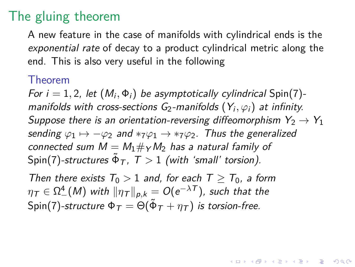A new feature in the case of manifolds with cylindrical ends is the exponential rate of decay to a product cylindrical metric along the end. This is also very useful in the following

#### Theorem

For  $i = 1, 2$ , let  $(M_i, \Phi_i)$  be asymptotically cylindrical Spin(7)manifolds with cross-sections G<sub>2</sub>-manifolds  $(Y_i, \varphi_i)$  at infinity. Suppose there is an orientation-reversing diffeomorphism  $Y_2 \rightarrow Y_1$ sending  $\varphi_1 \mapsto -\varphi_2$  and  $*_7\varphi_1 \rightarrow *_7\varphi_2$ . Thus the generalized connected sum  $M = M_1 \#_Y M_2$  has a natural family of  $\mathsf{Spin}(7)$ -structures  $\tilde{\Phi}_\mathcal{T}$ ,  $\mathcal{T}>1$  (with 'small' torsion).

**KORKAR KERKER SAGA** 

Then there exists  $T_0 > 1$  and, for each  $T > T_0$ , a form  $\eta_{\,\mathcal{T}} \in \Omega^4_-(M)$  with  $\|\eta_{\,\mathcal{T}}\|_{\rho,k} = O(\mathrm{e}^{-\lambda \, \mathcal{T}})$ , such that the  $\mathsf{Spin}(7)$ -structure  $\mathsf \Phi_{\mathcal T} = \Theta(\tilde{\mathsf \Phi}_{\mathcal T} + \eta_{\mathcal T})$  is torsion-free.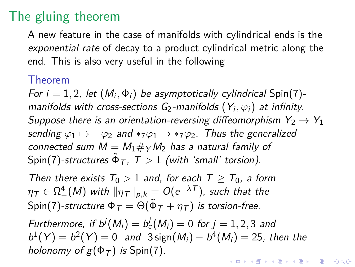A new feature in the case of manifolds with cylindrical ends is the exponential rate of decay to a product cylindrical metric along the end. This is also very useful in the following

#### Theorem

For  $i = 1, 2$ , let  $(M_i, \Phi_i)$  be asymptotically cylindrical Spin(7)manifolds with cross-sections G<sub>2</sub>-manifolds  $(Y_i, \varphi_i)$  at infinity. Suppose there is an orientation-reversing diffeomorphism  $Y_2 \rightarrow Y_1$ sending  $\varphi_1 \mapsto -\varphi_2$  and  $*_7\varphi_1 \rightarrow *_7\varphi_2$ . Thus the generalized connected sum  $M = M_1 \#_Y M_2$  has a natural family of  $\mathsf{Spin}(7)$ -structures  $\tilde{\Phi}_\mathcal{T}$ ,  $\mathcal{T}>1$  (with 'small' torsion).

Then there exists  $T_0 > 1$  and, for each  $T > T_0$ , a form  $\eta_{\,\mathcal{T}} \in \Omega^4_-(M)$  with  $\|\eta_{\,\mathcal{T}}\|_{\rho,k} = O(\mathrm{e}^{-\lambda \, \mathcal{T}})$ , such that the  $\mathsf{Spin}(7)$ -structure  $\mathsf \Phi_{\mathcal T} = \Theta(\tilde{\mathsf \Phi}_{\mathcal T} + \eta_{\mathcal T})$  is torsion-free.

Furthermore, if  $b^{j}(M_{i}) = b_{c}^{j}(M_{i}) = 0$  for  $j = 1, 2, 3$  and  $b^{1}(Y) = b^{2}(Y) = 0$  and  $3 \text{sign}(M_{i}) - b^{4}(M_{i}) = 25$ , then the holonomy of  $g(\Phi_T)$  is Spin(7). KELK KØLK VELKEN EL 1990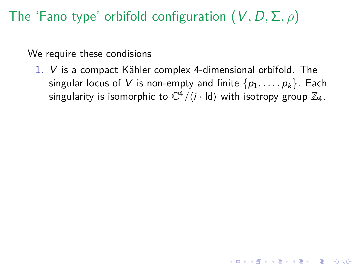## The 'Fano type' orbifold configuration (V*,* D*,* Σ*, ρ*)

We require these condisions

1.  $V$  is a compact Kähler complex 4-dimensional orbifold. The singular locus of V is non-empty and finite  $\{p_1, \ldots, p_k\}$ . Each singularity is isomorphic to  $\mathbb{C}^4/\langle i\cdot\textsf{Id}\rangle$  with isotropy group  $\mathbb{Z}_4$ .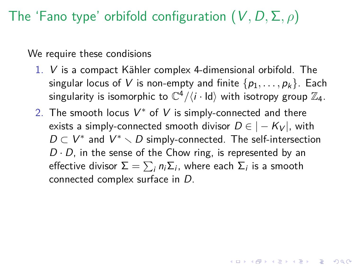## The 'Fano type' orbifold configuration (V*,* D*,* Σ*, ρ*)

We require these condisions

- 1.  $V$  is a compact Kähler complex 4-dimensional orbifold. The singular locus of V is non-empty and finite  $\{p_1, \ldots, p_k\}$ . Each singularity is isomorphic to  $\mathbb{C}^4/\langle i\cdot\textsf{Id}\rangle$  with isotropy group  $\mathbb{Z}_4$ .
- 2. The smooth locus  $V^*$  of V is simply-connected and there exists a simply-connected smooth divisor  $D \in |-K_V|$ , with  $D \subset V^*$  and  $V^* \setminus D$  simply-connected. The self-intersection  $D \cdot D$ , in the sense of the Chow ring, is represented by an effective divisor  $\Sigma=\sum_i n_i\Sigma_i$ , where each  $\Sigma_i$  is a smooth connected complex surface in D.

YO A 4 4 4 4 5 A 4 5 A 4 D + 4 D + 4 D + 4 D + 4 D + + E + + E + + O + O + + E + + O + + C + + + + +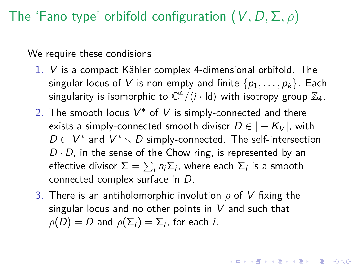## The 'Fano type' orbifold configuration (V*,* D*,* Σ*, ρ*)

We require these condisions

- 1.  $V$  is a compact Kähler complex 4-dimensional orbifold. The singular locus of V is non-empty and finite  $\{p_1, \ldots, p_k\}$ . Each singularity is isomorphic to  $\mathbb{C}^4/\langle i\cdot\textsf{Id}\rangle$  with isotropy group  $\mathbb{Z}_4$ .
- 2. The smooth locus  $V^*$  of V is simply-connected and there exists a simply-connected smooth divisor  $D \in |-K_V|$ , with  $D \subset V^*$  and  $V^* \setminus D$  simply-connected. The self-intersection  $D \cdot D$ , in the sense of the Chow ring, is represented by an effective divisor  $\Sigma=\sum_i n_i\Sigma_i$ , where each  $\Sigma_i$  is a smooth connected complex surface in D.
- <span id="page-23-0"></span>3. There is an antiholomorphic involution *ρ* of V fixing the singular locus and no other points in  $V$  and such that  $\rho(D)=D$  and  $\rho(\Sigma_i)=\Sigma_i$ , for each *i*.

KID KA KERKER E VOLO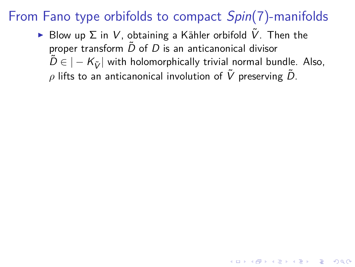<span id="page-24-0"></span> $\triangleright$  Blow up Σ in V, obtaining a Kähler orbifold  $\tilde{V}$ . Then the proper transform  $\tilde{D}$  of  $D$  is an anticanonical divisor  $\tilde{D} \in |-K_{\tilde{V}}|$  with holomorphically trivial normal bundle. Also,  $ρ$  lifts to an anticanonical involution of  $\tilde{V}$  preserving  $\tilde{D}$ .

4 0 > 4 4 + 4 = + 4 = + = + + 0 4 0 +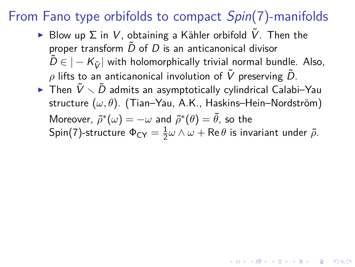- ► Blow up  $\Sigma$  in V, obtaining a Kähler orbifold  $\tilde{V}$ . Then the proper transform  $\tilde{D}$  of  $D$  is an anticanonical divisor  $\tilde{D} \in |-K_{\tilde{V}}|$  with holomorphically trivial normal bundle. Also,  $ρ$  lifts to an anticanonical involution of  $\tilde{V}$  preserving  $\tilde{D}$ .
- $\blacktriangleright$  Then  $\tilde{V}\smallsetminus\tilde{D}$  admits an asymptotically cylindrical Calabi–Yau structure (ω, θ). (Tian–Yau, A.K., Haskins–Hein–Nordström)  $M$ oreover,  $\widetilde{\rho}^*(\omega) = -\omega$  and  $\widetilde{\rho}^*(\theta) = \bar{\theta}$ , so the  $\mathsf{Spin}(7)$ -structure  $\mathsf{\Phi}_{\mathsf{CY}}=\frac{1}{2}$  $\frac{1}{2}$ ω  $\wedge$  ω  $+$  Re  $\theta$  is invariant under  $\tilde{\rho}$ .

YO A 4 4 4 4 5 A 4 5 A 4 D + 4 D + 4 D + 4 D + 4 D + + E + + E + + O + O + + E + + O + + C + + + + +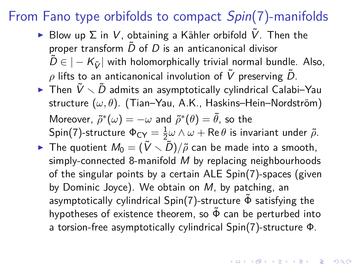- $\triangleright$  Blow up Σ in V, obtaining a Kähler orbifold  $\tilde{V}$ . Then the proper transform  $\tilde{D}$  of  $D$  is an anticanonical divisor  $\tilde{D} \in |-K_{\tilde{V}}|$  with holomorphically trivial normal bundle. Also,  $\rho$  lifts to an anticanonical involution of  $\tilde{V}$  preserving  $\tilde{D}$ .
- $\blacktriangleright$  Then  $\tilde{V}\smallsetminus\tilde{D}$  admits an asymptotically cylindrical Calabi–Yau structure (ω, θ). (Tian–Yau, A.K., Haskins–Hein–Nordström)  $M$ oreover,  $\widetilde{\rho}^*(\omega) = -\omega$  and  $\widetilde{\rho}^*(\theta) = \bar{\theta}$ , so the  $\mathsf{Spin}(7)$ -structure  $\mathsf{\Phi}_{\mathsf{CY}}=\frac{1}{2}$  $\frac{1}{2}\omega\wedge\omega+{\sf Re}\,\theta$  is invariant under  $\tilde\rho.$
- <span id="page-26-0"></span>**Figure 1** The quotient  $M_0 = (\tilde{V} \setminus \tilde{D})/\tilde{\rho}$  can be made into a smooth, simply-connected 8-manifold M by replacing neighbourhoods of the singular points by a certain ALE Spin(7)-spaces (given by Dominic Joyce). We obtain on M, by patching, an asymptotically cylindrical Spin(7)-structure  $\tilde{\Phi}$  satisfying the hypotheses of existence theorem, so  $\tilde{\Phi}$  can be perturbed into a torsion-free asymptotically cylindrical Spin(7)-structure Φ.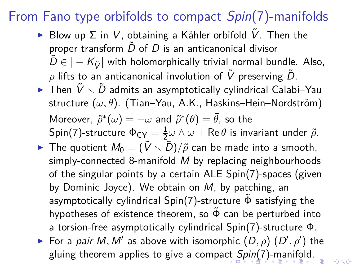- $\triangleright$  Blow up  $\Sigma$  in V, obtaining a Kähler orbifold V. Then the proper transform  $\tilde{D}$  of  $D$  is an anticanonical divisor  $\tilde{D} \in |-K_{\tilde{V}}|$  with holomorphically trivial normal bundle. Also,  $\rho$  lifts to an anticanonical involution of  $\tilde{V}$  preserving  $\tilde{D}$ .
- $\blacktriangleright$  Then  $\tilde{V}\smallsetminus\tilde{D}$  admits an asymptotically cylindrical Calabi–Yau structure (ω, θ). (Tian–Yau, A.K., Haskins–Hein–Nordström)  $M$ oreover,  $\widetilde{\rho}^*(\omega) = -\omega$  and  $\widetilde{\rho}^*(\theta) = \bar{\theta}$ , so the  $\mathsf{Spin}(7)$ -structure  $\mathsf{\Phi}_{\mathsf{CY}}=\frac{1}{2}$  $\frac{1}{2}\omega\wedge\omega+{\sf Re}\,\theta$  is invariant under  $\tilde\rho.$
- **Figure 1** The quotient  $M_0 = (\tilde{V} \setminus \tilde{D})/\tilde{\rho}$  can be made into a smooth, simply-connected 8-manifold M by replacing neighbourhoods of the singular points by a certain ALE Spin(7)-spaces (given by Dominic Joyce). We obtain on M, by patching, an asymptotically cylindrical Spin(7)-structure  $\tilde{\Phi}$  satisfying the hypotheses of existence theorem, so  $\tilde{\Phi}$  can be perturbed into a torsion-free asymptotically cylindrical Spin(7)-structure Φ.
- <span id="page-27-0"></span>For a *pair M, M'* as above with isomorphic  $(D, \rho)$   $(D', \rho')$  the gluing theorem applies to give a compa[ct](#page-26-0) [Sp](#page-28-0)[in](#page-23-0)[\(](#page-24-0)[7](#page-27-0)[\)](#page-28-0)[-m](#page-0-0)[an](#page-48-0)[if](#page-0-0)[old](#page-48-0)[.](#page-0-0)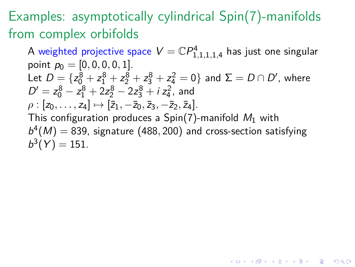## Examples: asymptotically cylindrical Spin(7)-manifolds from complex orbifolds

<span id="page-28-0"></span>A weighted projective space  $V=\mathbb{C} P^4_{1,1,1,1,4}$  has just one singular point  $p_0 = [0, 0, 0, 0, 1]$ . Let  $D = \{ z_0^8 + z_1^8 + z_2^8 + z_3^8 + z_4^2 = 0 \}$  and  $\Sigma = D \cap D'$ , where  $D' = z_0^8 - z_1^8 + 2z_2^8 - 2z_3^8 + i z_4^2$ , and  $\rho$  :  $[z_0, \ldots, z_4] \mapsto [\bar{z}_1, -\bar{z}_0, \bar{z}_3, -\bar{z}_2, \bar{z}_4].$ This configuration produces a  $Spin(7)$ -manifold  $M_1$  with  $b^4(M) = 839$ , signature (488, 200) and cross-section satisfying  $b^3(Y) = 151.$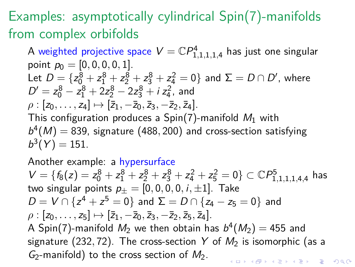## Examples: asymptotically cylindrical Spin(7)-manifolds from complex orbifolds

A weighted projective space  $V=\mathbb{C} P^4_{1,1,1,1,4}$  has just one singular point  $p_0 = [0, 0, 0, 0, 1]$ . Let  $D = \{ z_0^8 + z_1^8 + z_2^8 + z_3^8 + z_4^2 = 0 \}$  and  $\Sigma = D \cap D'$ , where  $D' = z_0^8 - z_1^8 + 2z_2^8 - 2z_3^8 + i z_4^2$ , and  $\rho$  :  $[z_0, \ldots, z_4] \mapsto [\bar{z}_1, -\bar{z}_0, \bar{z}_3, -\bar{z}_2, \bar{z}_4].$ This configuration produces a  $Spin(7)$ -manifold  $M_1$  with  $b^4(M) = 839$ , signature (488, 200) and cross-section satisfying  $b^3(Y) = 151.$ 

Another example: a hypersurface  $V = \{f_8(z) = z_0^8 + z_1^8 + z_2^8 + z_3^8 + z_4^2 + z_5^2 = 0\} \subset \mathbb{C}P^5_{1,1,1,1,4,4}$  has two singular points  $p_+ = [0, 0, 0, 0, i, \pm 1]$ . Take  $D = V ∩ {z<sup>4</sup> + z<sup>5</sup> = 0}$  and  $Σ = D ∩ {z<sub>4</sub> - z<sub>5</sub> = 0}$  and  $\rho : [z_0, \ldots, z_5] \mapsto [\overline{z}_1, -\overline{z}_0, \overline{z}_3, -\overline{z}_2, \overline{z}_5, \overline{z}_4].$ A Spin(7)-manifold  $M_2$  we then obtain has  $b^4(M_2)=$  455 and signature (232, 72). The cross-section Y of  $M_2$  is isomorphic (as a  $G_2$ -manifold) to the cross section of  $M_2$ . KID KA KERKER E VOLO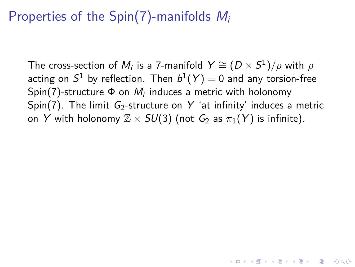### Properties of the Spin(7)-manifolds  $M_i$

The cross-section of  $M_i$  is a 7-manifold  $Y \cong (D \times S^1)/\rho$  with  $\rho$ acting on  $S^1$  by reflection. Then  $b^1(\mathit{Y}) = 0$  and any torsion-free  $\mathsf{Spin}(7)$ -structure  $\Phi$  on  $M_i$  induces a metric with holonomy Spin(7). The limit  $G_2$ -structure on Y 'at infinity' induces a metric on Y with holonomy  $\mathbb{Z} \ltimes SU(3)$  (not  $G_2$  as  $\pi_1(Y)$  is infinite).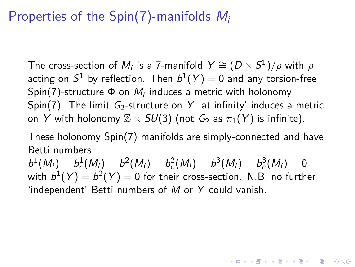### Properties of the Spin(7)-manifolds  $M_i$

The cross-section of  $M_i$  is a 7-manifold  $Y \cong (D \times S^1)/\rho$  with  $\rho$ acting on  $S^1$  by reflection. Then  $b^1(\mathit{Y}) = 0$  and any torsion-free  $\mathsf{Spin}(7)$ -structure  $\Phi$  on  $M_i$  induces a metric with holonomy Spin(7). The limit  $G_2$ -structure on Y 'at infinity' induces a metric on Y with holonomy  $\mathbb{Z} \ltimes SU(3)$  (not  $G_2$  as  $\pi_1(Y)$  is infinite).

These holonomy Spin(7) manifolds are simply-connected and have Betti numbers

 $b^1(M_i) = b_c^1(M_i) = b^2(M_i) = b_c^2(M_i) = b^3(M_i) = b_c^3(M_i) = 0$ with  $b^1(\mathit{Y})=b^2(\mathit{Y})=0$  for their cross-section. N.B. no further 'independent' Betti numbers of M or Y could vanish.

YO A 4 4 4 4 5 A 4 5 A 4 D + 4 D + 4 D + 4 D + 4 D + + E + + E + + O + O + + E + + O + + C + + + + +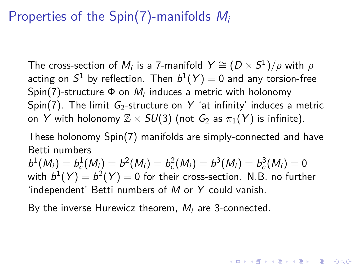#### Properties of the Spin(7)-manifolds  $M_i$

The cross-section of  $M_i$  is a 7-manifold  $Y \cong (D \times S^1)/\rho$  with  $\rho$ acting on  $S^1$  by reflection. Then  $b^1(\mathit{Y}) = 0$  and any torsion-free  $\mathsf{Spin}(7)$ -structure  $\Phi$  on  $M_i$  induces a metric with holonomy Spin(7). The limit  $G_2$ -structure on Y 'at infinity' induces a metric on Y with holonomy  $\mathbb{Z} \ltimes SU(3)$  (not  $G_2$  as  $\pi_1(Y)$  is infinite).

These holonomy Spin(7) manifolds are simply-connected and have Betti numbers

 $b^1(M_i) = b_c^1(M_i) = b^2(M_i) = b_c^2(M_i) = b^3(M_i) = b_c^3(M_i) = 0$ with  $b^1(\mathit{Y})=b^2(\mathit{Y})=0$  for their cross-section. N.B. no further 'independent' Betti numbers of M or Y could vanish.

YO A 4 4 4 4 5 A 4 5 A 4 D + 4 D + 4 D + 4 D + 4 D + + E + + E + + O + O + + E + + O + + C + + + + +

<span id="page-32-0"></span>By the inverse Hurewicz theorem,  $M_i$  are 3-connected.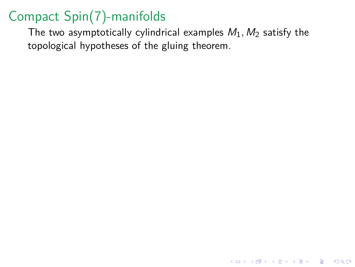<span id="page-33-0"></span>The two asymptotically cylindrical examples  $M_1$ ,  $M_2$  satisfy the topological hypotheses of the gluing theorem.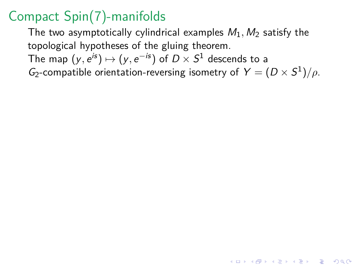The two asymptotically cylindrical examples  $M_1$ ,  $M_2$  satisfy the topological hypotheses of the gluing theorem. The map  $(y,e^{is})\mapsto (y,e^{-is})$  of  $D\times S^1$  descends to a  $G_2$ -compatible orientation-reversing isometry of  $Y = (D \times S^1)/\rho$ .

**KORKARYKERKER OQO**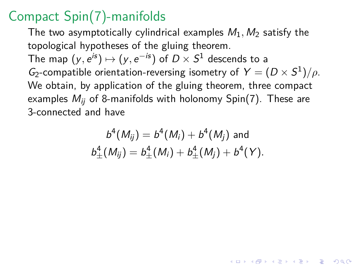The two asymptotically cylindrical examples  $M_1$ ,  $M_2$  satisfy the topological hypotheses of the gluing theorem. The map  $(y,e^{is})\mapsto (y,e^{-is})$  of  $D\times S^1$  descends to a  $G_2$ -compatible orientation-reversing isometry of  $Y = (D \times S^1)/\rho$ . We obtain, by application of the gluing theorem, three compact examples  $M_{ii}$  of 8-manifolds with holonomy Spin(7). These are 3-connected and have

$$
b^{4}(M_{ij}) = b^{4}(M_{i}) + b^{4}(M_{j})
$$
 and  

$$
b^{4}_{\pm}(M_{ij}) = b^{4}_{\pm}(M_{i}) + b^{4}_{\pm}(M_{j}) + b^{4}(Y).
$$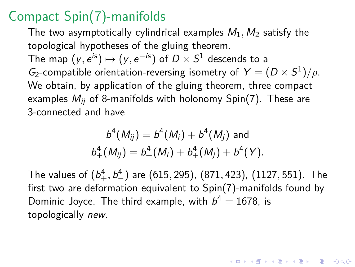The two asymptotically cylindrical examples  $M_1$ ,  $M_2$  satisfy the topological hypotheses of the gluing theorem. The map  $(y,e^{is})\mapsto (y,e^{-is})$  of  $D\times S^1$  descends to a  $G_2$ -compatible orientation-reversing isometry of  $Y = (D \times S^1)/\rho$ . We obtain, by application of the gluing theorem, three compact examples  $M_{ii}$  of 8-manifolds with holonomy Spin(7). These are 3-connected and have

$$
b^4(M_{ij}) = b^4(M_i) + b^4(M_j) \text{ and}
$$
  

$$
b^4_{\pm}(M_{ij}) = b^4_{\pm}(M_i) + b^4_{\pm}(M_j) + b^4(Y).
$$

<span id="page-36-0"></span>The values of (b 4 <sup>+</sup>*,* b 4 <sup>−</sup>) are (615*,* 295), (871*,* 423), (1127*,* 551). The first two are deformation equivalent to Spin(7)-manifolds found by Dominic Joyce. The third example, with  $b^4 = 1678$ , is topologically new.

YO A 4 4 4 4 5 A 4 5 A 4 D + 4 D + 4 D + 4 D + 4 D + + E + + E + + O + O + + E + + O + + C + + + + +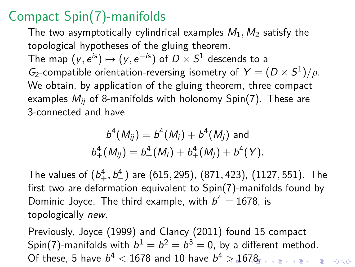The two asymptotically cylindrical examples  $M_1$ ,  $M_2$  satisfy the topological hypotheses of the gluing theorem. The map  $(y,e^{is})\mapsto (y,e^{-is})$  of  $D\times S^1$  descends to a  $G_2$ -compatible orientation-reversing isometry of  $Y = (D \times S^1)/\rho$ . We obtain, by application of the gluing theorem, three compact examples  $M_{ii}$  of 8-manifolds with holonomy Spin(7). These are 3-connected and have

$$
b^4(M_{ij}) = b^4(M_i) + b^4(M_j) \text{ and}
$$
  

$$
b^4_{\pm}(M_{ij}) = b^4_{\pm}(M_i) + b^4_{\pm}(M_j) + b^4(Y).
$$

The values of (b 4 <sup>+</sup>*,* b 4 <sup>−</sup>) are (615*,* 295), (871*,* 423), (1127*,* 551). The first two are deformation equivalent to Spin(7)-manifolds found by Dominic Joyce. The third example, with  $b^4 = 1678$ , is topologically new.

<span id="page-37-0"></span>Previously, Joyce (1999) and Clancy (2011) found 15 compact Spin(7)-manifolds with  $b^1=b^2=b^3=0$ , by a different method. Of these, 5 have  $b^4 < 1678$  $b^4 < 1678$  $b^4 < 1678$  $b^4 < 1678$  and 10 have  $b^4 > 1678$  $b^4 > 1678$  $b^4 > 1678$ ,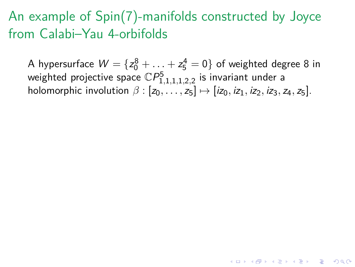<span id="page-38-0"></span>A hypersurface  $W=\{z_0^8+\ldots+z_5^4=0\}$  of weighted degree 8 in weighted projective space  $\mathbb{C}P^5_{1,1,1,1,2,2}$  is invariant under a holomorphic involution  $\beta$  :  $[z_0, \ldots, z_5] \mapsto [iz_0, iz_1, iz_2, iz_3, z_4, z_5]$ .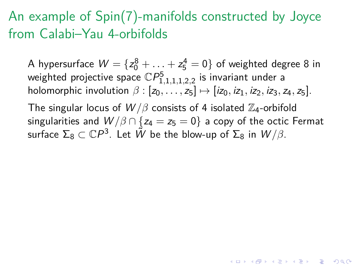A hypersurface  $W=\{z_0^8+\ldots+z_5^4=0\}$  of weighted degree 8 in weighted projective space  $\mathbb{C}P^5_{1,1,1,1,2,2}$  is invariant under a holomorphic involution  $\beta$  :  $[z_0, \ldots, z_5] \mapsto [iz_0, iz_1, iz_2, iz_3, z_4, z_5]$ .

The singular locus of  $W/\beta$  consists of 4 isolated  $\mathbb{Z}_4$ -orbifold singularities and  $W/\beta \cap \{z_4 = z_5 = 0\}$  a copy of the octic Fermat surface  $\Sigma_8\subset \mathbb{C}P^3.$  Let  $\tilde{W}$  be the blow-up of  $\Sigma_8$  in  $W/\beta.$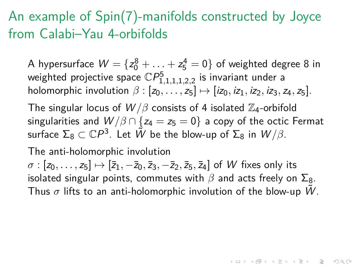A hypersurface  $W=\{z_0^8+\ldots+z_5^4=0\}$  of weighted degree 8 in weighted projective space  $\mathbb{C}P^5_{1,1,1,1,2,2}$  is invariant under a holomorphic involution  $\beta$  :  $[z_0, \ldots, z_5] \mapsto [iz_0, iz_1, iz_2, iz_3, z_4, z_5]$ .

The singular locus of  $W/\beta$  consists of 4 isolated  $\mathbb{Z}_4$ -orbifold singularities and  $W/\beta \cap \{z_4 = z_5 = 0\}$  a copy of the octic Fermat surface  $\Sigma_8\subset \mathbb{C}P^3.$  Let  $\tilde{W}$  be the blow-up of  $\Sigma_8$  in  $W/\beta.$ 

The anti-holomorphic involution

 $\sigma$  :  $[z_0, \ldots, z_5] \mapsto [\bar{z}_1, -\bar{z}_0, \bar{z}_3, -\bar{z}_2, \bar{z}_5, \bar{z}_4]$  of W fixes only its isolated singular points, commutes with  $β$  and acts freely on  $\Sigma_8$ . Thus  $\sigma$  lifts to an anti-holomorphic involution of the blow-up W.

YO A 4 4 4 4 5 A 4 5 A 4 D + 4 D + 4 D + 4 D + 4 D + 4 D + + E + + D + + E + + O + O + + + + + + + +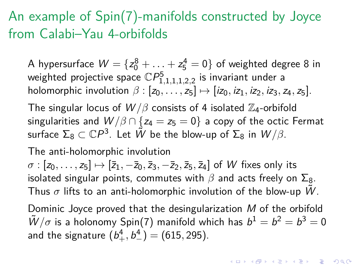A hypersurface  $W=\{z_0^8+\ldots+z_5^4=0\}$  of weighted degree 8 in weighted projective space  $\mathbb{C}P^5_{1,1,1,1,2,2}$  is invariant under a holomorphic involution  $\beta$  :  $[z_0, \ldots, z_5] \mapsto [iz_0, iz_1, iz_2, iz_3, z_4, z_5]$ .

The singular locus of  $W/\beta$  consists of 4 isolated  $\mathbb{Z}_4$ -orbifold singularities and  $W/\beta \cap \{z_4 = z_5 = 0\}$  a copy of the octic Fermat surface  $\Sigma_8\subset \mathbb{C}P^3.$  Let  $\tilde{W}$  be the blow-up of  $\Sigma_8$  in  $W/\beta.$ 

#### The anti-holomorphic involution

 $\sigma$  :  $[z_0, \ldots, z_5] \mapsto [\bar{z}_1, -\bar{z}_0, \bar{z}_3, -\bar{z}_2, \bar{z}_5, \bar{z}_4]$  of W fixes only its isolated singular points, commutes with  $β$  and acts freely on  $Σ_8$ . Thus  $\sigma$  lifts to an anti-holomorphic involution of the blow-up W.

<span id="page-41-0"></span>Dominic Joyce proved that the desingularization M of the orbifold  $\tilde{W}/\sigma$  is a holonomy Spin(7) manifold which has  $b^1 = b^2 = b^3 = 0$ and the signature  $(b^4_+, b^4_-) = (615, 295).$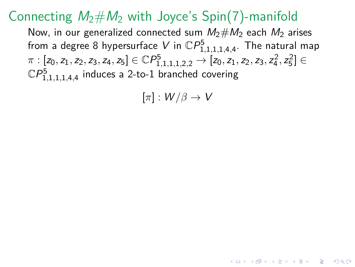#### Connecting  $M_2 \# M_2$  with Joyce's Spin(7)-manifold

Now, in our generalized connected sum  $M_2 \# M_2$  each  $M_2$  arises from a degree 8 hypersurface  $V$  in  $\mathbb{C}P^5_{1,1,1,1,4,4}$ . The natural map  $\pi : [z_0, z_1, z_2, z_3, z_4, z_5] \in \mathbb{C} P^5_{1,1,1,1,2,2} \rightarrow [z_0, z_1, z_2, z_3, z_4^2, z_5^2] \in \mathbb{C} P^5_{1,1,1,1,2,2}$  $\mathbb{C}P^5_{1,1,1,1,4,4}$  induces a 2-to-1 branched covering

<span id="page-42-0"></span> $[\pi]: W/\beta \to V$ 

**KORKAR KERKER E VOOR**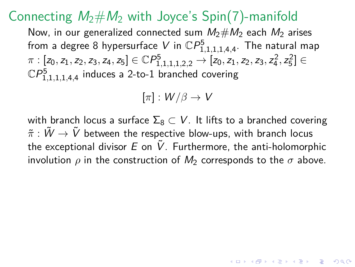#### Connecting  $M_2 \# M_2$  with Joyce's Spin(7)-manifold

Now, in our generalized connected sum  $M_2 \# M_2$  each  $M_2$  arises from a degree 8 hypersurface  $V$  in  $\mathbb{C}P^5_{1,1,1,1,4,4}$ . The natural map  $\pi : [z_0, z_1, z_2, z_3, z_4, z_5] \in \mathbb{C} P^5_{1,1,1,1,2,2} \rightarrow [z_0, z_1, z_2, z_3, z_4^2, z_5^2] \in \mathbb{C} P^5_{1,1,1,1,2,2}$  $\mathbb{C}P^5_{1,1,1,1,4,4}$  induces a 2-to-1 branched covering

$$
[\pi]:W/\beta\to V
$$

<span id="page-43-0"></span>with branch locus a surface  $\Sigma_8 \subset V$ . It lifts to a branched covering  $\tilde{\pi}$  :  $\tilde{W} \rightarrow \tilde{V}$  between the respective blow-ups, with branch locus the exceptional divisor  $E$  on  $\tilde{V}$ . Furthermore, the anti-holomorphic involution  $\rho$  in the construction of  $M_2$  corresponds to the  $\sigma$  above.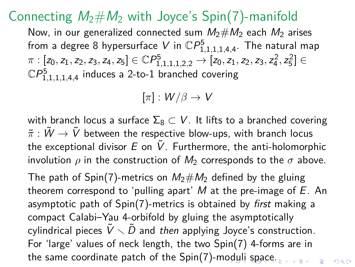### Connecting  $M_2 \# M_2$  with Joyce's Spin(7)-manifold

Now, in our generalized connected sum  $M_2 \# M_2$  each  $M_2$  arises from a degree 8 hypersurface  $V$  in  $\mathbb{C}P^5_{1,1,1,1,4,4}$ . The natural map  $\pi : [z_0, z_1, z_2, z_3, z_4, z_5] \in \mathbb{C} P^5_{1,1,1,1,2,2} \rightarrow [z_0, z_1, z_2, z_3, z_4^2, z_5^2] \in \mathbb{C} P^5_{1,1,1,1,2,2}$  $\mathbb{C}P^5_{1,1,1,1,4,4}$  induces a 2-to-1 branched covering

 $[\pi]: W/\beta \to V$ 

with branch locus a surface  $\Sigma_8 \subset V$ . It lifts to a branched covering  $\tilde{\pi}:\tilde{W}\to\tilde{V}$  between the respective blow-ups, with branch locus the exceptional divisor E on  $\tilde{V}$ . Furthermore, the anti-holomorphic involution  $\rho$  in the construction of  $M_2$  corresponds to the  $\sigma$  above.

<span id="page-44-0"></span>The path of Spin(7)-metrics on  $M_2 \# M_2$  defined by the gluing theorem correspond to 'pulling apart'  $M$  at the pre-image of  $E$ . An asymptotic path of Spin(7)-metrics is obtained by first making a compact Calabi–Yau 4-orbifold by gluing the asymptotically cylindrical pieces  $\tilde{V} \setminus \tilde{D}$  and then applying Joyce's construction. For 'large' values of neck length, the two Spin(7) 4-forms are in the same coordinate patch of the Spin(7)-m[od](#page-43-0)[uli](#page-45-0) [s](#page-41-0)[p](#page-42-0)[a](#page-44-0)[c](#page-45-0)[e.](#page-0-0) $\equiv$ 

 $000$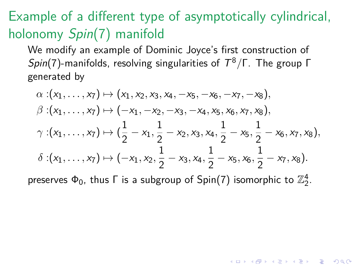# Example of a different type of asymptotically cylindrical, holonomy Spin(7) manifold

We modify an example of Dominic Joyce's first construction of Spin(7)-manifolds, resolving singularities of T <sup>8</sup>*/*Γ. The group Γ generated by

$$
\alpha: (x_1, \ldots, x_7) \mapsto (x_1, x_2, x_3, x_4, -x_5, -x_6, -x_7, -x_8),
$$
  
\n
$$
\beta: (x_1, \ldots, x_7) \mapsto (-x_1, -x_2, -x_3, -x_4, x_5, x_6, x_7, x_8),
$$
  
\n
$$
\gamma: (x_1, \ldots, x_7) \mapsto (\frac{1}{2} - x_1, \frac{1}{2} - x_2, x_3, x_4, \frac{1}{2} - x_5, \frac{1}{2} - x_6, x_7, x_8),
$$
  
\n
$$
\delta: (x_1, \ldots, x_7) \mapsto (-x_1, x_2, \frac{1}{2} - x_3, x_4, \frac{1}{2} - x_5, x_6, \frac{1}{2} - x_7, x_8).
$$

<span id="page-45-0"></span>preserves  $\Phi_0$ , thus  $\Gamma$  is a subgroup of Spin(7) isomorphic to  $\mathbb{Z}_2^4$ .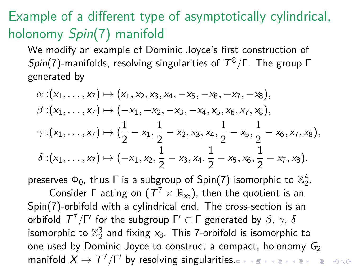# Example of a different type of asymptotically cylindrical, holonomy Spin(7) manifold

We modify an example of Dominic Joyce's first construction of Spin(7)-manifolds, resolving singularities of T <sup>8</sup>*/*Γ. The group Γ generated by

$$
\alpha: (x_1, \ldots, x_7) \mapsto (x_1, x_2, x_3, x_4, -x_5, -x_6, -x_7, -x_8),
$$
  
\n
$$
\beta: (x_1, \ldots, x_7) \mapsto (-x_1, -x_2, -x_3, -x_4, x_5, x_6, x_7, x_8),
$$
  
\n
$$
\gamma: (x_1, \ldots, x_7) \mapsto (\frac{1}{2} - x_1, \frac{1}{2} - x_2, x_3, x_4, \frac{1}{2} - x_5, \frac{1}{2} - x_6, x_7, x_8),
$$
  
\n
$$
\delta: (x_1, \ldots, x_7) \mapsto (-x_1, x_2, \frac{1}{2} - x_3, x_4, \frac{1}{2} - x_5, x_6, \frac{1}{2} - x_7, x_8).
$$

preserves  $\Phi_0$ , thus  $\Gamma$  is a subgroup of Spin(7) isomorphic to  $\mathbb{Z}_2^4$ .

Consider  $\Gamma$  acting on  $(T^7 \times \mathbb{R}_{x_8})$ , then the quotient is an Spin(7)-orbifold with a cylindrical end. The cross-section is an orbifold  $T^7/\Gamma'$  for the subgroup  $\Gamma' \subset \Gamma$  generated by  $\beta$ ,  $\gamma$ ,  $\delta$ isomorphic to  $\mathbb{Z}_2^3$  and fixing  $x_8$ . This 7-orbifold is isomorphic to one used by Dominic Joyce to construct a compact, holonomy  $G_2$ manifold  $X \to T^7/\Gamma'$  by resolving singulariti[es.](#page-45-0)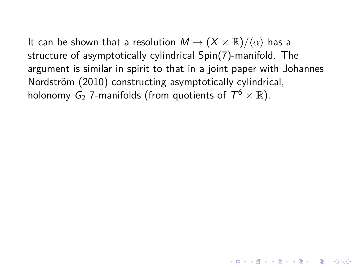It can be shown that a resolution  $M \to (X \times \mathbb{R})/\langle \alpha \rangle$  has a structure of asymptotically cylindrical Spin(7)-manifold. The argument is similar in spirit to that in a joint paper with Johannes Nordström (2010) constructing asymptotically cylindrical, holonomy  $\mathsf{G}_2$  7-manifolds (from quotients of  $\mathcal{T}^6\times\mathbb{R}$ ).